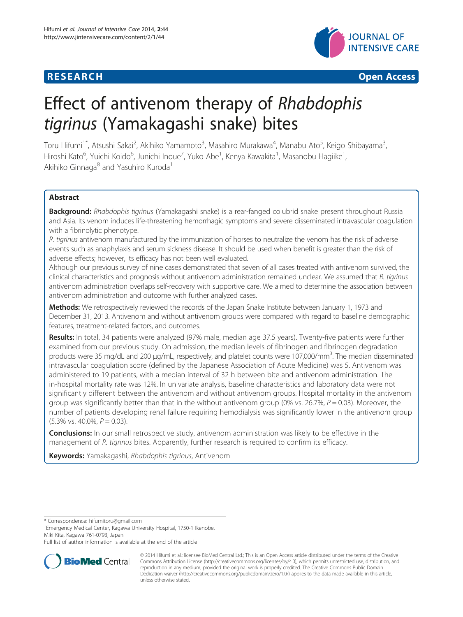



# Effect of antivenom therapy of Rhabdophis tigrinus (Yamakagashi snake) bites

Toru Hifumi<sup>1\*</sup>, Atsushi Sakai<sup>2</sup>, Akihiko Yamamoto<sup>3</sup>, Masahiro Murakawa<sup>4</sup>, Manabu Ato<sup>5</sup>, Keigo Shibayama<sup>3</sup> , Hiroshi Kato<sup>6</sup>, Yuichi Koido<sup>6</sup>, Junichi Inoue<sup>7</sup>, Yuko Abe<sup>1</sup>, Kenya Kawakita<sup>1</sup>, Masanobu Hagiike<sup>1</sup> , Akihiko Ginnaga<sup>8</sup> and Yasuhiro Kuroda<sup>1</sup>

# Abstract

Background: Rhabdophis tigrinus (Yamakagashi snake) is a rear-fanged colubrid snake present throughout Russia and Asia. Its venom induces life-threatening hemorrhagic symptoms and severe disseminated intravascular coagulation with a fibrinolytic phenotype.

R. tigrinus antivenom manufactured by the immunization of horses to neutralize the venom has the risk of adverse events such as anaphylaxis and serum sickness disease. It should be used when benefit is greater than the risk of adverse effects; however, its efficacy has not been well evaluated.

Although our previous survey of nine cases demonstrated that seven of all cases treated with antivenom survived, the clinical characteristics and prognosis without antivenom administration remained unclear. We assumed that R. tigrinus antivenom administration overlaps self-recovery with supportive care. We aimed to determine the association between antivenom administration and outcome with further analyzed cases.

Methods: We retrospectively reviewed the records of the Japan Snake Institute between January 1, 1973 and December 31, 2013. Antivenom and without antivenom groups were compared with regard to baseline demographic features, treatment-related factors, and outcomes.

Results: In total, 34 patients were analyzed (97% male, median age 37.5 years). Twenty-five patients were further examined from our previous study. On admission, the median levels of fibrinogen and fibrinogen degradation products were 35 mg/dL and 200 µg/mL, respectively, and platelet counts were 107,000/mm<sup>3</sup>. The median disseminated intravascular coagulation score (defined by the Japanese Association of Acute Medicine) was 5. Antivenom was administered to 19 patients, with a median interval of 32 h between bite and antivenom administration. The in-hospital mortality rate was 12%. In univariate analysis, baseline characteristics and laboratory data were not significantly different between the antivenom and without antivenom groups. Hospital mortality in the antivenom group was significantly better than that in the without antivenom group (0% vs. 26.7%,  $P = 0.03$ ). Moreover, the number of patients developing renal failure requiring hemodialysis was significantly lower in the antivenom group  $(5.3\% \text{ vs. } 40.0\% \text{ , } P = 0.03).$ 

**Conclusions:** In our small retrospective study, antivenom administration was likely to be effective in the management of R. tigrinus bites. Apparently, further research is required to confirm its efficacy.

Keywords: Yamakagashi, Rhabdophis tigrinus, Antivenom

\* Correspondence: [hifumitoru@gmail.com](mailto:hifumitoru@gmail.com) <sup>1</sup>

<sup>1</sup> Emergency Medical Center, Kagawa University Hospital, 1750-1 Ikenobe, Miki Kita, Kagawa 761-0793, Japan

Full list of author information is available at the end of the article



<sup>© 2014</sup> Hifumi et al.; licensee BioMed Central Ltd.; This is an Open Access article distributed under the terms of the Creative Commons Attribution License [\(http://creativecommons.org/licenses/by/4.0\)](http://creativecommons.org/licenses/by/4.0), which permits unrestricted use, distribution, and reproduction in any medium, provided the original work is properly credited. The Creative Commons Public Domain Dedication waiver [\(http://creativecommons.org/publicdomain/zero/1.0/](http://creativecommons.org/publicdomain/zero/1.0/)) applies to the data made available in this article, unless otherwise stated.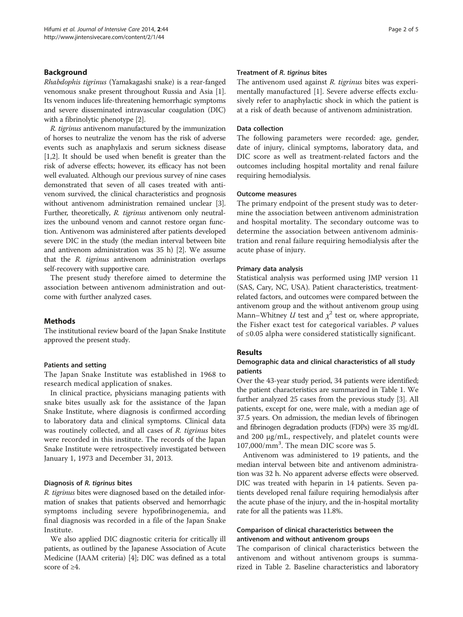# Background

Rhabdophis tigrinus (Yamakagashi snake) is a rear-fanged venomous snake present throughout Russia and Asia [[1](#page-4-0)]. Its venom induces life-threatening hemorrhagic symptoms and severe disseminated intravascular coagulation (DIC) with a fibrinolytic phenotype [\[2](#page-4-0)].

R. tigrinus antivenom manufactured by the immunization of horses to neutralize the venom has the risk of adverse events such as anaphylaxis and serum sickness disease [[1,2](#page-4-0)]. It should be used when benefit is greater than the risk of adverse effects; however, its efficacy has not been well evaluated. Although our previous survey of nine cases demonstrated that seven of all cases treated with antivenom survived, the clinical characteristics and prognosis without antivenom administration remained unclear [[3](#page-4-0)]. Further, theoretically, R. tigrinus antivenom only neutralizes the unbound venom and cannot restore organ function. Antivenom was administered after patients developed severe DIC in the study (the median interval between bite and antivenom administration was 35 h) [[2](#page-4-0)]. We assume that the R. tigrinus antivenom administration overlaps self-recovery with supportive care.

The present study therefore aimed to determine the association between antivenom administration and outcome with further analyzed cases.

### **Methods**

The institutional review board of the Japan Snake Institute approved the present study.

#### Patients and setting

The Japan Snake Institute was established in 1968 to research medical application of snakes.

In clinical practice, physicians managing patients with snake bites usually ask for the assistance of the Japan Snake Institute, where diagnosis is confirmed according to laboratory data and clinical symptoms. Clinical data was routinely collected, and all cases of R. tigrinus bites were recorded in this institute. The records of the Japan Snake Institute were retrospectively investigated between January 1, 1973 and December 31, 2013.

### Diagnosis of R. tigrinus bites

R. tigrinus bites were diagnosed based on the detailed information of snakes that patients observed and hemorrhagic symptoms including severe hypofibrinogenemia, and final diagnosis was recorded in a file of the Japan Snake Institute.

We also applied DIC diagnostic criteria for critically ill patients, as outlined by the Japanese Association of Acute Medicine (JAAM criteria) [\[4](#page-4-0)]; DIC was defined as a total score of ≥4.

#### Treatment of R. tigrinus bites

The antivenom used against R. tigrinus bites was experimentally manufactured [[1\]](#page-4-0). Severe adverse effects exclusively refer to anaphylactic shock in which the patient is at a risk of death because of antivenom administration.

# Data collection

The following parameters were recorded: age, gender, date of injury, clinical symptoms, laboratory data, and DIC score as well as treatment-related factors and the outcomes including hospital mortality and renal failure requiring hemodialysis.

#### Outcome measures

The primary endpoint of the present study was to determine the association between antivenom administration and hospital mortality. The secondary outcome was to determine the association between antivenom administration and renal failure requiring hemodialysis after the acute phase of injury.

# Primary data analysis

Statistical analysis was performed using JMP version 11 (SAS, Cary, NC, USA). Patient characteristics, treatmentrelated factors, and outcomes were compared between the antivenom group and the without antivenom group using Mann–Whitney *U* test and  $\chi^2$  test or, where appropriate, the Fisher exact test for categorical variables.  $P$  values of ≤0.05 alpha were considered statistically significant.

# Results

# Demographic data and clinical characteristics of all study patients

Over the 43-year study period, 34 patients were identified; the patient characteristics are summarized in Table [1](#page-2-0). We further analyzed 25 cases from the previous study [\[3](#page-4-0)]. All patients, except for one, were male, with a median age of 37.5 years. On admission, the median levels of fibrinogen and fibrinogen degradation products (FDPs) were 35 mg/dL and 200 μg/mL, respectively, and platelet counts were 107,000/mm<sup>3</sup> . The mean DIC score was 5.

Antivenom was administered to 19 patients, and the median interval between bite and antivenom administration was 32 h. No apparent adverse effects were observed. DIC was treated with heparin in 14 patients. Seven patients developed renal failure requiring hemodialysis after the acute phase of the injury, and the in-hospital mortality rate for all the patients was 11.8%.

# Comparison of clinical characteristics between the antivenom and without antivenom groups

The comparison of clinical characteristics between the antivenom and without antivenom groups is summarized in Table [2.](#page-2-0) Baseline characteristics and laboratory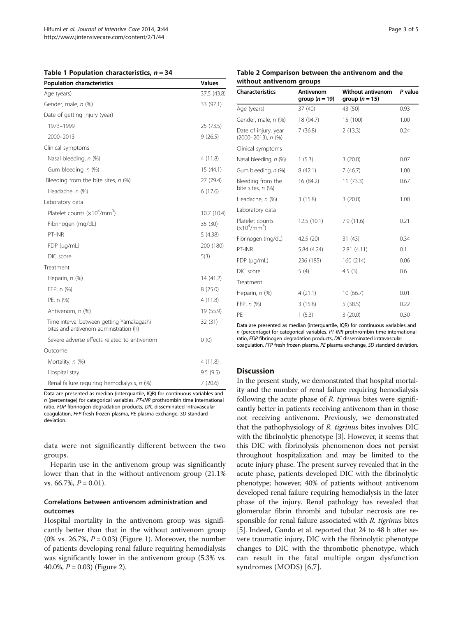#### <span id="page-2-0"></span>Table 1 Population characteristics,  $n = 34$

| <b>Population characteristics</b>                                                   | <b>Values</b> |
|-------------------------------------------------------------------------------------|---------------|
| Age (years)                                                                         | 37.5 (43.8)   |
| Gender, male, n (%)                                                                 | 33 (97.1)     |
| Date of getting injury (year)                                                       |               |
| 1973-1999                                                                           | 25 (73.5)     |
| 2000-2013                                                                           | 9(26.5)       |
| Clinical symptoms                                                                   |               |
| Nasal bleeding, n (%)                                                               | 4(11.8)       |
| Gum bleeding, n (%)                                                                 | 15(44.1)      |
| Bleeding from the bite sites, $n$ (%)                                               | 27 (79.4)     |
| Headache, n (%)                                                                     | 6(17.6)       |
| Laboratory data                                                                     |               |
| Platelet counts $(x10^4/\text{mm}^3)$                                               | 10.7(10.4)    |
| Fibrinogen (mg/dL)                                                                  | 35 (30)       |
| PT-INR                                                                              | 5(4.38)       |
| $FDP$ ( $\mu q/mL$ )                                                                | 200 (180)     |
| DIC score                                                                           | 5(3)          |
| Treatment                                                                           |               |
| Heparin, n (%)                                                                      | 14 (41.2)     |
| FFP, n (%)                                                                          | 8(25.0)       |
| PE, n (%)                                                                           | 4(11.8)       |
| Antivenom, n (%)                                                                    | 19 (55.9)     |
| Time interval between getting Yamakagashi<br>bites and antivenom administration (h) | 32 (31)       |
| Severe adverse effects related to antivenom                                         | 0(0)          |
| Outcome                                                                             |               |
| Mortality, n (%)                                                                    | 4(11.8)       |
| Hospital stay                                                                       | 9.5(9.5)      |
| Renal failure requiring hemodialysis, n (%)                                         | 7(20.6)       |

Data are presented as median (interquartile, IQR) for continuous variables and n (percentage) for categorical variables. PT-INR prothrombin time international ratio, FDP fibrinogen degradation products, DIC disseminated intravascular coagulation, FFP fresh frozen plasma, PE plasma exchange, SD standard deviation.

data were not significantly different between the two groups.

Heparin use in the antivenom group was significantly lower than that in the without antivenom group (21.1% vs. 66.7%,  $P = 0.01$ ).

# Correlations between antivenom administration and outcomes

Hospital mortality in the antivenom group was significantly better than that in the without antivenom group (0% vs. 26.7%,  $P = 0.03$ ) (Figure [1\)](#page-3-0). Moreover, the number of patients developing renal failure requiring hemodialysis was significantly lower in the antivenom group (5.3% vs. 40.0%,  $P = 0.03$ ) (Figure [2\)](#page-3-0).

#### Table 2 Comparison between the antivenom and the without antivenom groups

| <b>Characteristics</b>                            | Antivenom<br>group $(n = 19)$ | <b>Without antivenom</b><br>group $(n = 15)$ | P value |
|---------------------------------------------------|-------------------------------|----------------------------------------------|---------|
| Age (years)                                       | 37(40)                        | 43 (50)                                      | 0.93    |
| Gender, male, n (%)                               | 18 (94.7)                     | 15 (100)                                     | 1.00    |
| Date of injury, year<br>$(2000 - 2013)$ , n $(%)$ | 7(36.8)                       | 2(13.3)                                      | 0.24    |
| Clinical symptoms                                 |                               |                                              |         |
| Nasal bleeding, n (%)                             | 1(5.3)                        | 3(20.0)                                      | 0.07    |
| Gum bleeding, n (%)                               | 8(42.1)                       | 7(46.7)                                      | 1.00    |
| Bleeding from the<br>bite sites, $n$ (%)          | 16 (84.2)                     | 11(73.3)                                     | 0.67    |
| Headache, n (%)                                   | 3(15.8)                       | 3(20.0)                                      | 1.00    |
| Laboratory data                                   |                               |                                              |         |
| Platelet counts<br>$(x10^4/\text{mm}^3)$          | 12.5(10.1)                    | 7.9(11.6)                                    | 0.21    |
| Fibrinogen (mg/dL)                                | 42.5 (20)                     | 31(43)                                       | 0.34    |
| PT-INR                                            | 5.84 (4.24)                   | 2.81(4.11)                                   | 0.1     |
| $FDP$ ( $\mu$ g/mL)                               | 236 (185)                     | 160 (214)                                    | 0.06    |
| DIC score                                         | 5(4)                          | 4.5(3)                                       | 0.6     |
| Treatment                                         |                               |                                              |         |
| Heparin, n (%)                                    | 4(21.1)                       | 10(66.7)                                     | 0.01    |
| FFP, $n$ $(\%)$                                   | 3(15.8)                       | 5(38.5)                                      | 0.22    |
| PF                                                | 1(5.3)                        | 3(20.0)                                      | 0.30    |

Data are presented as median (interquartile, IQR) for continuous variables and n (percentage) for categorical variables. PT-INR prothrombin time international ratio, FDP fibrinogen degradation products, DIC disseminated intravascular coagulation, FFP fresh frozen plasma, PE plasma exchange, SD standard deviation.

# Discussion

In the present study, we demonstrated that hospital mortality and the number of renal failure requiring hemodialysis following the acute phase of R. tigrinus bites were significantly better in patients receiving antivenom than in those not receiving antivenom. Previously, we demonstrated that the pathophysiology of R. tigrinus bites involves DIC with the fibrinolytic phenotype [\[3](#page-4-0)]. However, it seems that this DIC with fibrinolysis phenomenon does not persist throughout hospitalization and may be limited to the acute injury phase. The present survey revealed that in the acute phase, patients developed DIC with the fibrinolytic phenotype; however, 40% of patients without antivenom developed renal failure requiring hemodialysis in the later phase of the injury. Renal pathology has revealed that glomerular fibrin thrombi and tubular necrosis are responsible for renal failure associated with R. tigrinus bites [[5\]](#page-4-0). Indeed, Gando et al. reported that 24 to 48 h after severe traumatic injury, DIC with the fibrinolytic phenotype changes to DIC with the thrombotic phenotype, which can result in the fatal multiple organ dysfunction syndromes (MODS) [\[6,7](#page-4-0)].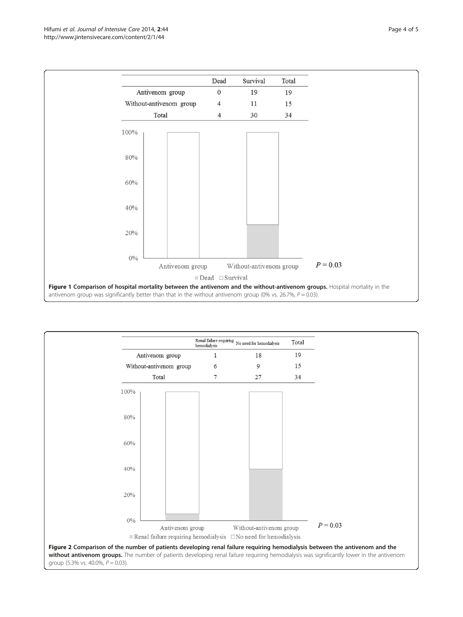<span id="page-3-0"></span>